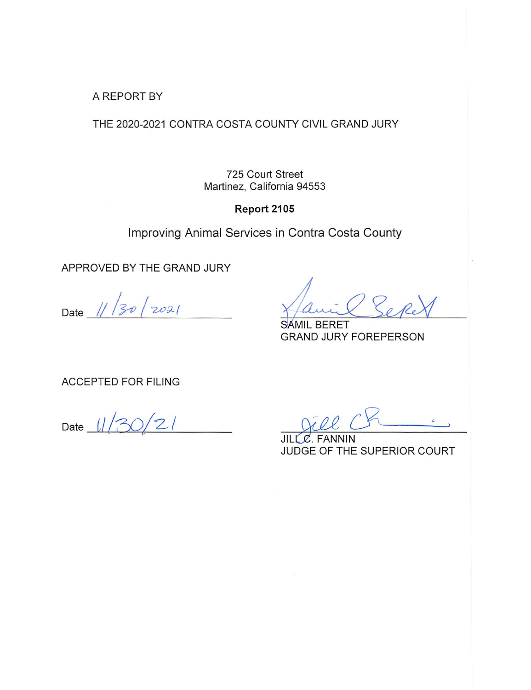A REPORT BY

THE 2020-2021 CONTRA COSTA COUNTY CIVIL GRAND JURY

725 Court Street Martinez, California 94553

Report 2105

Improving Animal Services in Contra Costa County

APPROVED BY THE GRAND JURY

Date  $11/30/2021$ 

**BERET** SAMIL **GRAND JURY FOREPERSON** 

**ACCEPTED FOR FILING** 

Date

JILL C. FANNIN JUDGE OF THE SUPERIOR COURT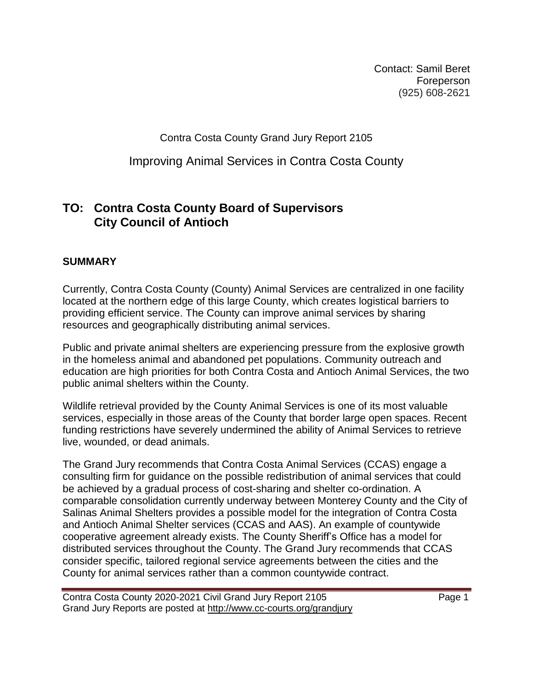Contact: Samil Beret **Foreperson** (925) 608-2621

Contra Costa County Grand Jury Report 2105

Improving Animal Services in Contra Costa County

# **TO: Contra Costa County Board of Supervisors City Council of Antioch**

### **SUMMARY**

Currently, Contra Costa County (County) Animal Services are centralized in one facility located at the northern edge of this large County, which creates logistical barriers to providing efficient service. The County can improve animal services by sharing resources and geographically distributing animal services.

Public and private animal shelters are experiencing pressure from the explosive growth in the homeless animal and abandoned pet populations. Community outreach and education are high priorities for both Contra Costa and Antioch Animal Services, the two public animal shelters within the County.

Wildlife retrieval provided by the County Animal Services is one of its most valuable services, especially in those areas of the County that border large open spaces. Recent funding restrictions have severely undermined the ability of Animal Services to retrieve live, wounded, or dead animals.

The Grand Jury recommends that Contra Costa Animal Services (CCAS) engage a consulting firm for guidance on the possible redistribution of animal services that could be achieved by a gradual process of cost-sharing and shelter co-ordination. A comparable consolidation currently underway between Monterey County and the City of Salinas Animal Shelters provides a possible model for the integration of Contra Costa and Antioch Animal Shelter services (CCAS and AAS). An example of countywide cooperative agreement already exists. The County Sheriff's Office has a model for distributed services throughout the County. The Grand Jury recommends that CCAS consider specific, tailored regional service agreements between the cities and the County for animal services rather than a common countywide contract.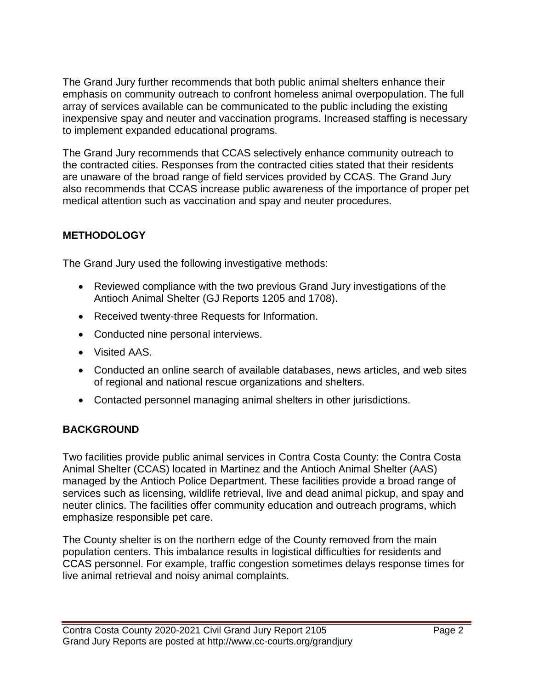The Grand Jury further recommends that both public animal shelters enhance their emphasis on community outreach to confront homeless animal overpopulation. The full array of services available can be communicated to the public including the existing inexpensive spay and neuter and vaccination programs. Increased staffing is necessary to implement expanded educational programs.

The Grand Jury recommends that CCAS selectively enhance community outreach to the contracted cities. Responses from the contracted cities stated that their residents are unaware of the broad range of field services provided by CCAS. The Grand Jury also recommends that CCAS increase public awareness of the importance of proper pet medical attention such as vaccination and spay and neuter procedures.

# **METHODOLOGY**

The Grand Jury used the following investigative methods:

- Reviewed compliance with the two previous Grand Jury investigations of the Antioch Animal Shelter (GJ Reports 1205 and 1708).
- Received twenty-three Requests for Information.
- Conducted nine personal interviews.
- Visited AAS.
- Conducted an online search of available databases, news articles, and web sites of regional and national rescue organizations and shelters.
- Contacted personnel managing animal shelters in other jurisdictions.

# **BACKGROUND**

Two facilities provide public animal services in Contra Costa County: the Contra Costa Animal Shelter (CCAS) located in Martinez and the Antioch Animal Shelter (AAS) managed by the Antioch Police Department. These facilities provide a broad range of services such as licensing, wildlife retrieval, live and dead animal pickup, and spay and neuter clinics. The facilities offer community education and outreach programs, which emphasize responsible pet care.

The County shelter is on the northern edge of the County removed from the main population centers. This imbalance results in logistical difficulties for residents and CCAS personnel. For example, traffic congestion sometimes delays response times for live animal retrieval and noisy animal complaints.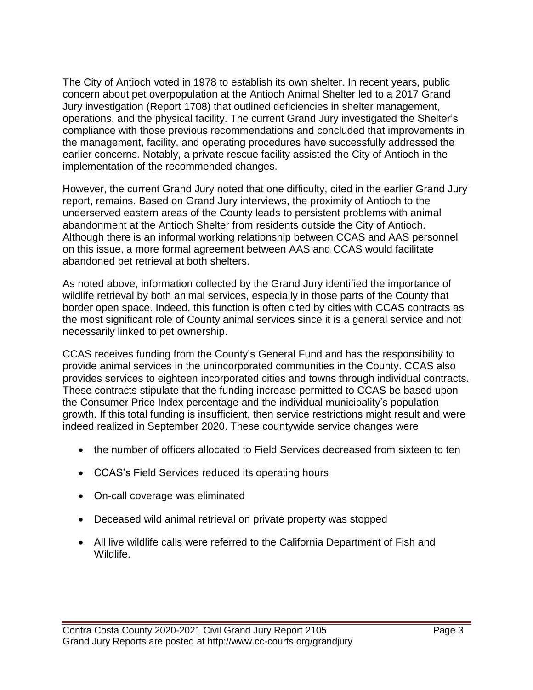The City of Antioch voted in 1978 to establish its own shelter. In recent years, public concern about pet overpopulation at the Antioch Animal Shelter led to a 2017 Grand Jury investigation (Report 1708) that outlined deficiencies in shelter management, operations, and the physical facility. The current Grand Jury investigated the Shelter's compliance with those previous recommendations and concluded that improvements in the management, facility, and operating procedures have successfully addressed the earlier concerns. Notably, a private rescue facility assisted the City of Antioch in the implementation of the recommended changes.

However, the current Grand Jury noted that one difficulty, cited in the earlier Grand Jury report, remains. Based on Grand Jury interviews, the proximity of Antioch to the underserved eastern areas of the County leads to persistent problems with animal abandonment at the Antioch Shelter from residents outside the City of Antioch. Although there is an informal working relationship between CCAS and AAS personnel on this issue, a more formal agreement between AAS and CCAS would facilitate abandoned pet retrieval at both shelters.

As noted above, information collected by the Grand Jury identified the importance of wildlife retrieval by both animal services, especially in those parts of the County that border open space. Indeed, this function is often cited by cities with CCAS contracts as the most significant role of County animal services since it is a general service and not necessarily linked to pet ownership.

CCAS receives funding from the County's General Fund and has the responsibility to provide animal services in the unincorporated communities in the County. CCAS also provides services to eighteen incorporated cities and towns through individual contracts. These contracts stipulate that the funding increase permitted to CCAS be based upon the Consumer Price Index percentage and the individual municipality's population growth. If this total funding is insufficient, then service restrictions might result and were indeed realized in September 2020. These countywide service changes were

- the number of officers allocated to Field Services decreased from sixteen to ten
- CCAS's Field Services reduced its operating hours
- On-call coverage was eliminated
- Deceased wild animal retrieval on private property was stopped
- All live wildlife calls were referred to the California Department of Fish and Wildlife.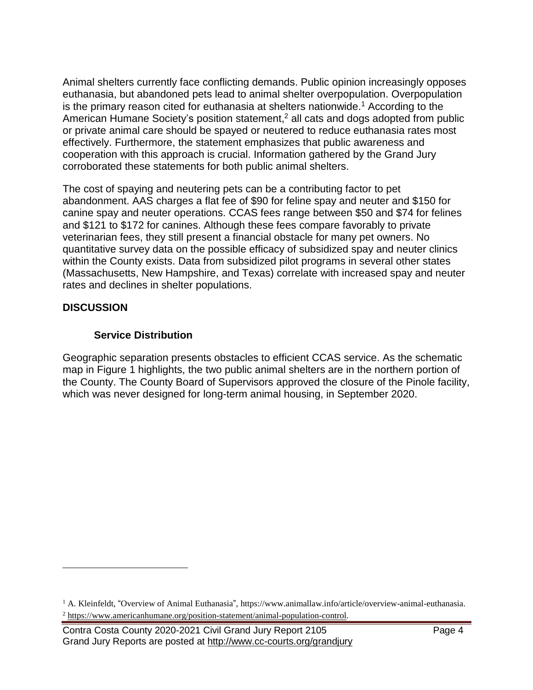Animal shelters currently face conflicting demands. Public opinion increasingly opposes euthanasia, but abandoned pets lead to animal shelter overpopulation. Overpopulation is the primary reason cited for euthanasia at shelters nationwide.<sup>1</sup> According to the American Humane Society's position statement,<sup>2</sup> all cats and dogs adopted from public or private animal care should be spayed or neutered to reduce euthanasia rates most effectively. Furthermore, the statement emphasizes that public awareness and cooperation with this approach is crucial. Information gathered by the Grand Jury corroborated these statements for both public animal shelters.

The cost of spaying and neutering pets can be a contributing factor to pet abandonment. AAS charges a flat fee of \$90 for feline spay and neuter and \$150 for canine spay and neuter operations. CCAS fees range between \$50 and \$74 for felines and \$121 to \$172 for canines. Although these fees compare favorably to private veterinarian fees, they still present a financial obstacle for many pet owners. No quantitative survey data on the possible efficacy of subsidized spay and neuter clinics within the County exists. Data from subsidized pilot programs in several other states (Massachusetts, New Hampshire, and Texas) correlate with increased spay and neuter rates and declines in shelter populations.

## **DISCUSSION**

 $\overline{a}$ 

### **Service Distribution**

Geographic separation presents obstacles to efficient CCAS service. As the schematic map in Figure 1 highlights, the two public animal shelters are in the northern portion of the County. The County Board of Supervisors approved the closure of the Pinole facility, which was never designed for long-term animal housing, in September 2020.

<sup>&</sup>lt;sup>1</sup> A. Kleinfeldt, "Overview of Animal Euthanasia", https://www.animallaw.info/article/overview-animal-euthanasia. <sup>2</sup> [https://www.americanhumane.org/position-statement/animal-population-control.](https://www.americanhumane.org/position-statement/animal-population-control)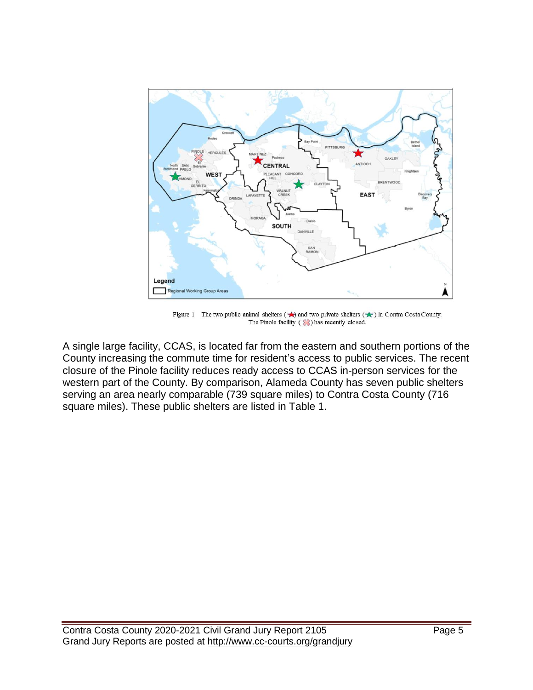

Figure 1 The two public animal shelters  $(\star)$  and two private shelters  $(\star)$  in Contra Costa County. The Pinole facility  $(\Diamond \Diamond)$  has recently closed.

A single large facility, CCAS, is located far from the eastern and southern portions of the County increasing the commute time for resident's access to public services. The recent closure of the Pinole facility reduces ready access to CCAS in-person services for the western part of the County. By comparison, Alameda County has seven public shelters serving an area nearly comparable (739 square miles) to Contra Costa County (716 square miles). These public shelters are listed in Table 1.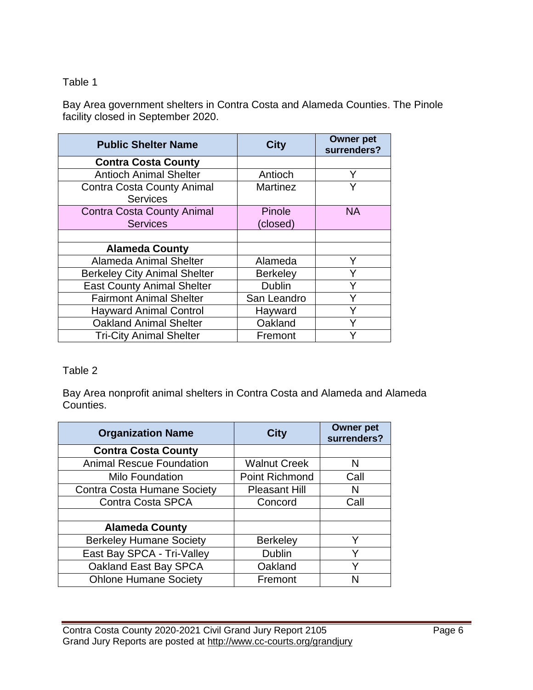## Table 1

Bay Area government shelters in Contra Costa and Alameda Counties. The Pinole facility closed in September 2020.

| <b>Public Shelter Name</b>          | <b>City</b>     | <b>Owner pet</b><br>surrenders? |
|-------------------------------------|-----------------|---------------------------------|
| <b>Contra Costa County</b>          |                 |                                 |
| <b>Antioch Animal Shelter</b>       | Antioch         | Y                               |
| <b>Contra Costa County Animal</b>   | <b>Martinez</b> | V                               |
| <b>Services</b>                     |                 |                                 |
| <b>Contra Costa County Animal</b>   | Pinole          | <b>NA</b>                       |
| <b>Services</b>                     | (closed)        |                                 |
|                                     |                 |                                 |
| <b>Alameda County</b>               |                 |                                 |
| Alameda Animal Shelter              | Alameda         |                                 |
| <b>Berkeley City Animal Shelter</b> | <b>Berkeley</b> |                                 |
| <b>East County Animal Shelter</b>   | <b>Dublin</b>   | Y                               |
| <b>Fairmont Animal Shelter</b>      | San Leandro     | v                               |
| <b>Hayward Animal Control</b>       | Hayward         |                                 |
| <b>Oakland Animal Shelter</b>       | Oakland         |                                 |
| <b>Tri-City Animal Shelter</b>      | Fremont         |                                 |

## Table 2

Bay Area nonprofit animal shelters in Contra Costa and Alameda and Alameda Counties.

| <b>Organization Name</b>           | <b>City</b>           | <b>Owner pet</b><br>surrenders? |
|------------------------------------|-----------------------|---------------------------------|
| <b>Contra Costa County</b>         |                       |                                 |
| <b>Animal Rescue Foundation</b>    | <b>Walnut Creek</b>   | N                               |
| <b>Milo Foundation</b>             | <b>Point Richmond</b> | Call                            |
| <b>Contra Costa Humane Society</b> | <b>Pleasant Hill</b>  | N                               |
| <b>Contra Costa SPCA</b>           | Concord               | Call                            |
|                                    |                       |                                 |
| <b>Alameda County</b>              |                       |                                 |
| <b>Berkeley Humane Society</b>     | <b>Berkeley</b>       | v                               |
| East Bay SPCA - Tri-Valley         | <b>Dublin</b>         |                                 |
| Oakland East Bay SPCA              | Oakland               |                                 |
| <b>Ohlone Humane Society</b>       | Fremont               |                                 |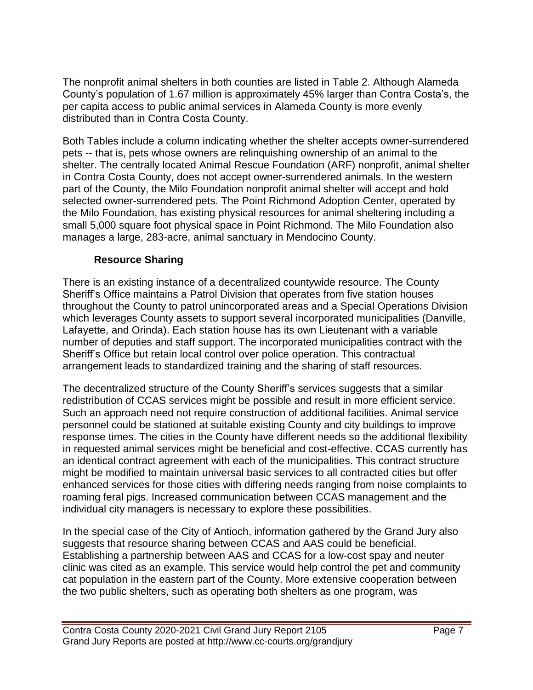The nonprofit animal shelters in both counties are listed in Table 2. Although Alameda County's population of 1.67 million is approximately 45% larger than Contra Costa's, the per capita access to public animal services in Alameda County is more evenly distributed than in Contra Costa County.

Both Tables include a column indicating whether the shelter accepts owner-surrendered pets -- that is, pets whose owners are relinquishing ownership of an animal to the shelter. The centrally located Animal Rescue Foundation (ARF) nonprofit, animal shelter in Contra Costa County, does not accept owner-surrendered animals. In the western part of the County, the Milo Foundation nonprofit animal shelter will accept and hold selected owner-surrendered pets. The Point Richmond Adoption Center, operated by the Milo Foundation, has existing physical resources for animal sheltering including a small 5,000 square foot physical space in Point Richmond. The Milo Foundation also manages a large, 283-acre, animal sanctuary in Mendocino County.

# **Resource Sharing**

There is an existing instance of a decentralized countywide resource. The County Sheriff's Office maintains a Patrol Division that operates from five station houses throughout the County to patrol unincorporated areas and a Special Operations Division which leverages County assets to support several incorporated municipalities (Danville, Lafayette, and Orinda). Each station house has its own Lieutenant with a variable number of deputies and staff support. The incorporated municipalities contract with the Sheriff's Office but retain local control over police operation. This contractual arrangement leads to standardized training and the sharing of staff resources.

The decentralized structure of the County Sheriff's services suggests that a similar redistribution of CCAS services might be possible and result in more efficient service. Such an approach need not require construction of additional facilities. Animal service personnel could be stationed at suitable existing County and city buildings to improve response times. The cities in the County have different needs so the additional flexibility in requested animal services might be beneficial and cost-effective. CCAS currently has an identical contract agreement with each of the municipalities. This contract structure might be modified to maintain universal basic services to all contracted cities but offer enhanced services for those cities with differing needs ranging from noise complaints to roaming feral pigs. Increased communication between CCAS management and the individual city managers is necessary to explore these possibilities.

In the special case of the City of Antioch, information gathered by the Grand Jury also suggests that resource sharing between CCAS and AAS could be beneficial. Establishing a partnership between AAS and CCAS for a low-cost spay and neuter clinic was cited as an example. This service would help control the pet and community cat population in the eastern part of the County. More extensive cooperation between the two public shelters, such as operating both shelters as one program, was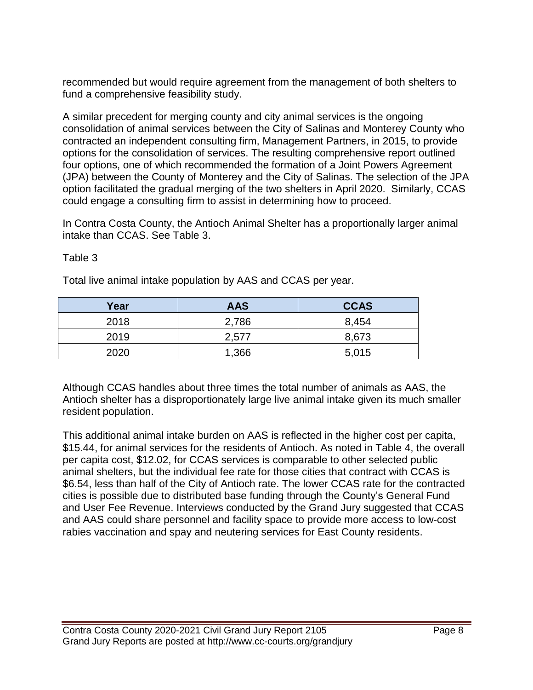recommended but would require agreement from the management of both shelters to fund a comprehensive feasibility study.

A similar precedent for merging county and city animal services is the ongoing consolidation of animal services between the City of Salinas and Monterey County who contracted an independent consulting firm, Management Partners, in 2015, to provide options for the consolidation of services. The resulting comprehensive report outlined four options, one of which recommended the formation of a Joint Powers Agreement (JPA) between the County of Monterey and the City of Salinas. The selection of the JPA option facilitated the gradual merging of the two shelters in April 2020. Similarly, CCAS could engage a consulting firm to assist in determining how to proceed.

In Contra Costa County, the Antioch Animal Shelter has a proportionally larger animal intake than CCAS. See Table 3.

#### Table 3

Total live animal intake population by AAS and CCAS per year.

| Year | <b>AAS</b> | <b>CCAS</b> |
|------|------------|-------------|
| 2018 | 2,786      | 8,454       |
| 2019 | 2,577      | 8,673       |
| 2020 | 1,366      | 5,015       |

Although CCAS handles about three times the total number of animals as AAS, the Antioch shelter has a disproportionately large live animal intake given its much smaller resident population.

This additional animal intake burden on AAS is reflected in the higher cost per capita, \$15.44, for animal services for the residents of Antioch. As noted in Table 4, the overall per capita cost, \$12.02, for CCAS services is comparable to other selected public animal shelters, but the individual fee rate for those cities that contract with CCAS is \$6.54, less than half of the City of Antioch rate. The lower CCAS rate for the contracted cities is possible due to distributed base funding through the County's General Fund and User Fee Revenue. Interviews conducted by the Grand Jury suggested that CCAS and AAS could share personnel and facility space to provide more access to low-cost rabies vaccination and spay and neutering services for East County residents.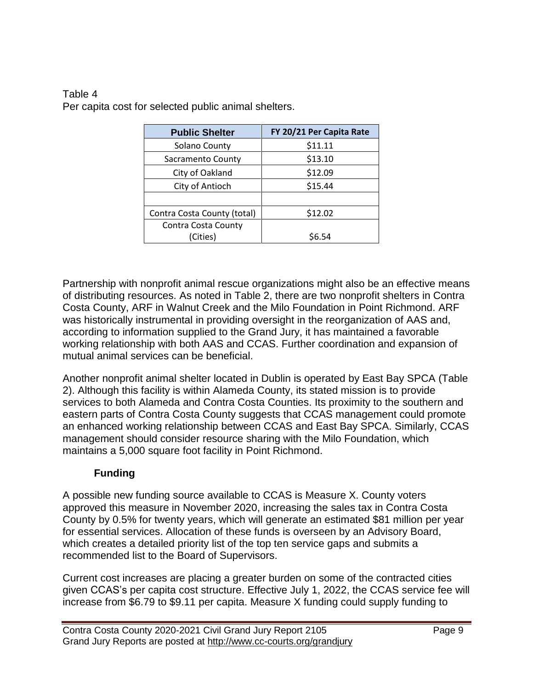#### Table 4 Per capita cost for selected public animal shelters.

| <b>Public Shelter</b>       | FY 20/21 Per Capita Rate |  |
|-----------------------------|--------------------------|--|
| Solano County               | \$11.11                  |  |
| Sacramento County           | \$13.10                  |  |
| City of Oakland             | \$12.09                  |  |
| City of Antioch             | \$15.44                  |  |
|                             |                          |  |
| Contra Costa County (total) | \$12.02                  |  |
| Contra Costa County         |                          |  |
| (Cities)                    | \$6.54                   |  |

Partnership with nonprofit animal rescue organizations might also be an effective means of distributing resources. As noted in Table 2, there are two nonprofit shelters in Contra Costa County, ARF in Walnut Creek and the Milo Foundation in Point Richmond. ARF was historically instrumental in providing oversight in the reorganization of AAS and, according to information supplied to the Grand Jury, it has maintained a favorable working relationship with both AAS and CCAS. Further coordination and expansion of mutual animal services can be beneficial.

Another nonprofit animal shelter located in Dublin is operated by East Bay SPCA (Table 2). Although this facility is within Alameda County, its stated mission is to provide services to both Alameda and Contra Costa Counties. Its proximity to the southern and eastern parts of Contra Costa County suggests that CCAS management could promote an enhanced working relationship between CCAS and East Bay SPCA. Similarly, CCAS management should consider resource sharing with the Milo Foundation, which maintains a 5,000 square foot facility in Point Richmond.

# **Funding**

A possible new funding source available to CCAS is Measure X. County voters approved this measure in November 2020, increasing the sales tax in Contra Costa County by 0.5% for twenty years, which will generate an estimated \$81 million per year for essential services. Allocation of these funds is overseen by an Advisory Board, which creates a detailed priority list of the top ten service gaps and submits a recommended list to the Board of Supervisors.

Current cost increases are placing a greater burden on some of the contracted cities given CCAS's per capita cost structure. Effective July 1, 2022, the CCAS service fee will increase from \$6.79 to \$9.11 per capita. Measure X funding could supply funding to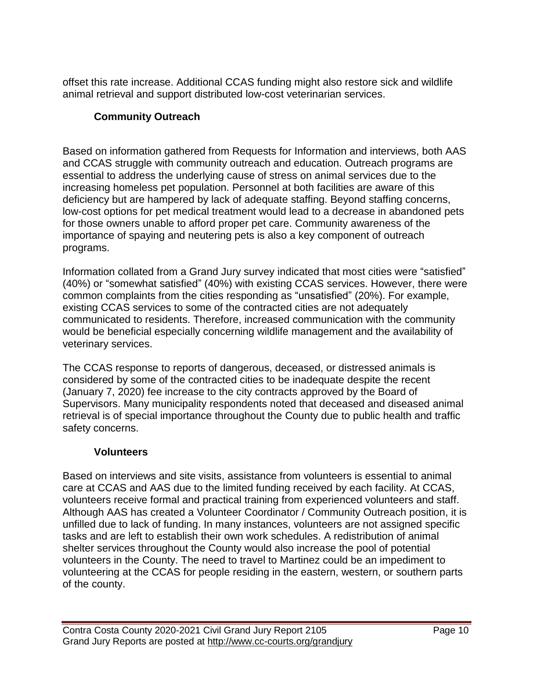offset this rate increase. Additional CCAS funding might also restore sick and wildlife animal retrieval and support distributed low-cost veterinarian services.

# **Community Outreach**

Based on information gathered from Requests for Information and interviews, both AAS and CCAS struggle with community outreach and education. Outreach programs are essential to address the underlying cause of stress on animal services due to the increasing homeless pet population. Personnel at both facilities are aware of this deficiency but are hampered by lack of adequate staffing. Beyond staffing concerns, low-cost options for pet medical treatment would lead to a decrease in abandoned pets for those owners unable to afford proper pet care. Community awareness of the importance of spaying and neutering pets is also a key component of outreach programs.

Information collated from a Grand Jury survey indicated that most cities were "satisfied" (40%) or "somewhat satisfied" (40%) with existing CCAS services. However, there were common complaints from the cities responding as "unsatisfied" (20%). For example, existing CCAS services to some of the contracted cities are not adequately communicated to residents. Therefore, increased communication with the community would be beneficial especially concerning wildlife management and the availability of veterinary services.

The CCAS response to reports of dangerous, deceased, or distressed animals is considered by some of the contracted cities to be inadequate despite the recent (January 7, 2020) fee increase to the city contracts approved by the Board of Supervisors. Many municipality respondents noted that deceased and diseased animal retrieval is of special importance throughout the County due to public health and traffic safety concerns.

# **Volunteers**

Based on interviews and site visits, assistance from volunteers is essential to animal care at CCAS and AAS due to the limited funding received by each facility. At CCAS, volunteers receive formal and practical training from experienced volunteers and staff. Although AAS has created a Volunteer Coordinator / Community Outreach position, it is unfilled due to lack of funding. In many instances, volunteers are not assigned specific tasks and are left to establish their own work schedules. A redistribution of animal shelter services throughout the County would also increase the pool of potential volunteers in the County. The need to travel to Martinez could be an impediment to volunteering at the CCAS for people residing in the eastern, western, or southern parts of the county.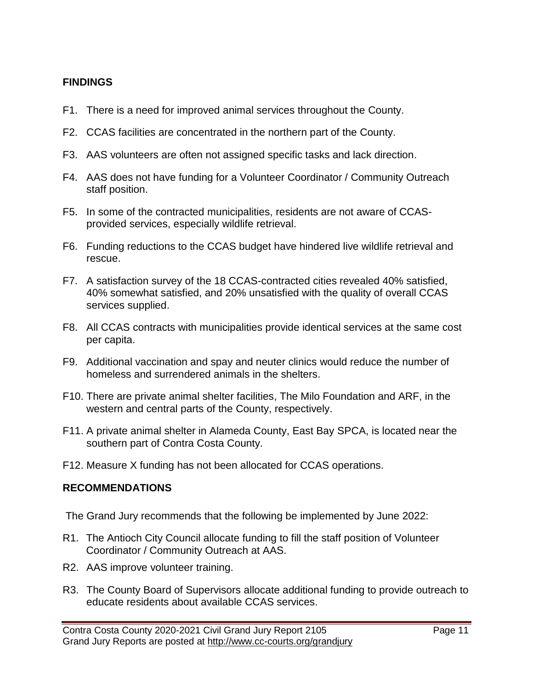# **FINDINGS**

- F1. There is a need for improved animal services throughout the County.
- F2. CCAS facilities are concentrated in the northern part of the County.
- F3. AAS volunteers are often not assigned specific tasks and lack direction.
- F4. AAS does not have funding for a Volunteer Coordinator / Community Outreach staff position.
- F5. In some of the contracted municipalities, residents are not aware of CCASprovided services, especially wildlife retrieval.
- F6. Funding reductions to the CCAS budget have hindered live wildlife retrieval and rescue.
- F7. A satisfaction survey of the 18 CCAS-contracted cities revealed 40% satisfied, 40% somewhat satisfied, and 20% unsatisfied with the quality of overall CCAS services supplied.
- F8. All CCAS contracts with municipalities provide identical services at the same cost per capita.
- F9. Additional vaccination and spay and neuter clinics would reduce the number of homeless and surrendered animals in the shelters.
- F10. There are private animal shelter facilities, The Milo Foundation and ARF, in the western and central parts of the County, respectively.
- F11. A private animal shelter in Alameda County, East Bay SPCA, is located near the southern part of Contra Costa County.
- F12. Measure X funding has not been allocated for CCAS operations.

## **RECOMMENDATIONS**

The Grand Jury recommends that the following be implemented by June 2022:

- R1. The Antioch City Council allocate funding to fill the staff position of Volunteer Coordinator / Community Outreach at AAS.
- R2. AAS improve volunteer training.
- R3. The County Board of Supervisors allocate additional funding to provide outreach to educate residents about available CCAS services.